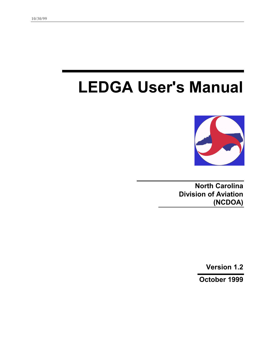# **LEDGA User's Manual**



**North Carolina Division of Aviation (NCDOA)** 

**Version 1.2** 

**October 1999**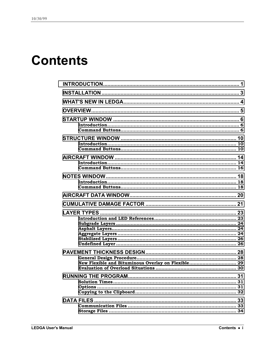## **Contents**

| NOTES WINDOW…………………………………………………………………………… 18       |  |  |  |  |
|----------------------------------------------------|--|--|--|--|
|                                                    |  |  |  |  |
|                                                    |  |  |  |  |
|                                                    |  |  |  |  |
| New Flexible and Bituminous Overlay on Flexible 29 |  |  |  |  |
|                                                    |  |  |  |  |
|                                                    |  |  |  |  |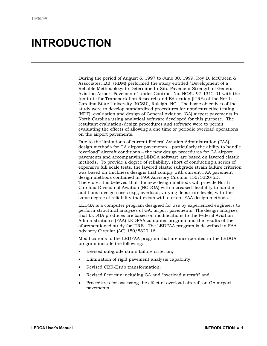## <span id="page-4-0"></span>**INTRODUCTION**

During the period of August 6, 1997 to June 30, 1999, Roy D. McQueen & Associates, Ltd. (RDM) performed the study entitled "Development of a Reliable Methodology to Determine In-Situ Pavement Strength of General Aviation Airport Pavements" under Contract No. NCSU 97-1312-01 with the Institute for Transportation Research and Education (ITRE) of the North Carolina State University (NCSU), Raleigh, NC. The basic objectives of the study were to develop standardized procedures for nondestructive testing (NDT), evaluation and design of General Aviation (GA) airport pavements in North Carolina using analytical software developed for this purpose. The resultant evaluation/design procedures and software were to permit evaluating the effects of allowing a one time or periodic overload operations on the airport pavements.

Due to the limitations of current Federal Aviation Administration (FAA) design methods for GA airport pavements – particularly the ability to handle "overload" aircraft conditions – the new design procedures for GA airport pavements and accompanying LEDGA software are based on layered elastic methods. To provide a degree of reliability, short of conducting a series of expensive full scale tests, the layered elastic subgrade strain failure criterion was based on thickness designs that comply with current FAA pavement design methods contained in FAA Advisory Circular 150/5320-6D. Therefore, it is believed that the new design methods will provide North Carolina Division of Aviation (NCDOA) with increased flexibility to handle additional design cases (e.g., overload, varying departure levels) with the same degree of reliability that exists with current FAA design methods.

LEDGA is a computer program designed for use by experienced engineers to perform structural analyses of GA. airport pavements. The design analyses that LEDGA produces are based on modifications to the Federal Aviation Administration's (FAA) LEDFAA computer program and the results of the aforementioned study for ITRE. The LEDFAA program is described in FAA Advisory Circular (AC) 150/5320-16.

Modifications to the LEDFAA program that are incorporated in the LEDGA program include the following:

- Revised subgrade strain failure criterion;
- Elimination of rigid pavement analysis capability;
- Revised CBR-Esub transformation;
- Revised fleet mix including GA and "overload aircraft" and
- Procedures for assessing the effect of overload aircraft on GA airport pavements.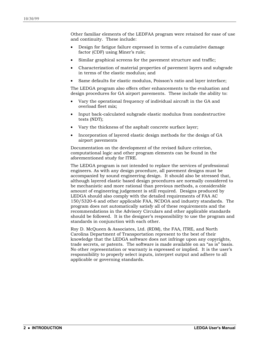Other familiar elements of the LEDFAA program were retained for ease of use and continuity. These include:

- Design for fatigue failure expressed in terms of a cumulative damage factor (CDF) using Miner's rule;
- Similar graphical screens for the pavement structure and traffic;
- Characterization of material properties of pavement layers and subgrade in terms of the elastic modulus; and
- Same defaults for elastic modulus, Poisson's ratio and layer interface;

The LEDGA program also offers other enhancements to the evaluation and design procedures for GA airport pavements. These include the ability to:

- Vary the operational frequency of individual aircraft in the GA and overload fleet mix;
- Input back-calculated subgrade elastic modulus from nondestructive tests (NDT);
- Vary the thickness of the asphalt concrete surface layer;
- Incorporation of layered elastic design methods for the design of GA airport pavements

Documentation on the development of the revised failure criterion, computational logic and other program elements can be found in the aforementioned study for ITRE.

The LEDGA program is not intended to replace the services of professional engineers. As with any design procedure, all pavement designs must be accompanied by sound engineering design. It should also be stressed that, although layered elastic based design procedures are normally considered to be mechanistic and more rational than previous methods, a considerable amount of engineering judgement is still required. Designs produced by LEDGA should also comply with the detailed requirements of FAA AC 150/5320-6 and other applicable FAA, NCDOA and industry standards. The program does not automatically satisfy all of these requirements and the recommendations in the Advisory Circulars and other applicable standards should be followed. It is the designer's responsibility to use the program and standards in conjunction with each other.

Roy D. McQueen & Associates, Ltd. (RDM), the FAA, ITRE, and North Carolina Department of Transportation represent to the best of their knowledge that the LEDGA software does not infringe upon any copyrights, trade secrets, or patents. The software is made available on an "as is" basis. No other representation or warranty is expressed or implied. It is the user's responsibility to properly select inputs, interpret output and adhere to all applicable or governing standards.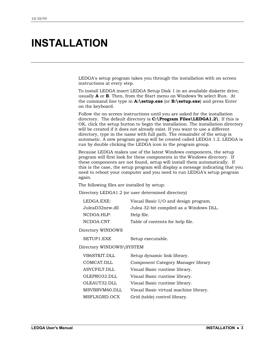## <span id="page-6-0"></span>**INSTALLATION**

LEDGA's setup program takes you through the installation with on screen instructions at every step.

To install LEDGA insert LEDGA Setup Disk 1 in an available diskette drive; usually **A** or **B**. Then, from the Start menu on Windows 9x select Run. At the command line type in **A:\setup.exe** (or **B:\setup.exe**) and press Enter on the keyboard.

Follow the on screen instructions until you are asked for the installation directory. The default directory is **C:\Program Files\LEDGA1.2\**. If this is OK, click the setup button to begin the installation. The installation directory will be created if it does not already exist. If you want to use a different directory, type in the name with full path. The remainder of the setup is automatic. A new program group will be created called LEDGA 1.2. LEDGA is run by double clicking the LEDGA icon in the program group.

Because LEDGA makes use of the latest Windows components, the setup program will first look for these components in the Windows directory. If these components are not found, setup will install them automatically. If this is the case, the setup program will display a message indicating that you need to reboot your computer and you need to run LEDGA's setup program again.

The following files are installed by setup:

Directory LEDGA1.2 (or user determined directory)

| LEDGA.EXE:      | Visual Basic I/O and design program.    |
|-----------------|-----------------------------------------|
| JuleaD32new.dll | Julea 32-bit compiled as a Windows DLL. |
| NCDOA.HLP:      | Help file.                              |
| NCDOA.CNT       | Table of contents for help file.        |

Directory WINDOWS

SETUP1.EXE Setup executable.

Directory WINDOWS\SYSTEM

| VB6STKIT.DLL  | Setup dynamic link library.           |
|---------------|---------------------------------------|
| COMCAT.DLL    | Component Category Manager library    |
| ASYCFILT.DLL  | Visual Basic runtime library.         |
| OLEPRO32.DLL  | Visual Basic runtime library.         |
| OLEAUT32.DLL  | Visual Basic runtime library.         |
| MSVBBVM60.DLL | Visual Basic virtual machine library. |
| MSFLXGRD.OCX  | Grid (table) control library.         |
|               |                                       |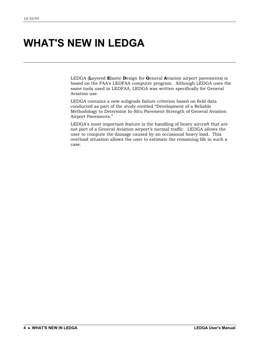## <span id="page-7-0"></span>**WHAT'S NEW IN LEDGA**

LEDGA (**L**ayered **E**lastic **D**esign for **G**eneral **A**viation airport pavements) is based on the FAA's LEDFAA computer program. Although LEDGA uses the same tools used in LEDFAA, LEDGA was written specifically for General Aviation use.

LEDGA contains a new subgrade failure criterion based on field data conducted as part of the study entitled "Development of a Reliable Methodology to Determine In-Situ Pavement Strength of General Aviation Airport Pavements."

LEDGA's most important feature is the handling of heavy aircraft that are not part of a General Aviation airport's normal traffic. LEDGA allows the user to compute the damage caused by an occasional heavy load. This overload situation allows the user to estimate the remaining life in such a case.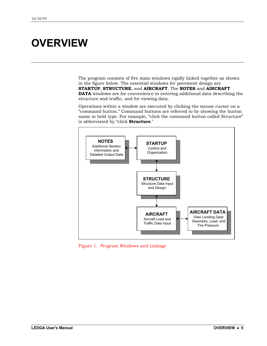## <span id="page-8-0"></span>**OVERVIEW**

The program consists of five main windows rigidly linked together as shown in the figure below. The essential windows for pavement design are **STARTUP**, **STRUCTURE**, and **AIRCRAFT**. The **NOTES** and **AIRCRAFT DATA** windows are for convenience in entering additional data describing the structure and traffic, and for viewing data.

Operations within a window are executed by clicking the mouse cursor on a "command button." Command buttons are referred to by showing the button name in bold type. For example, "click the command button called Structure" is abbreviated by "click **Structure**."



Figure 1. Program Windows and Linkage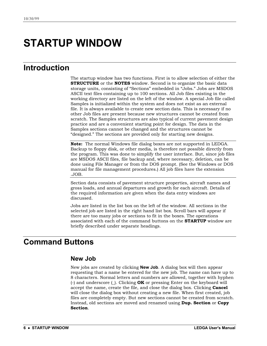## <span id="page-9-0"></span>**STARTUP WINDOW**

### **Introduction**

The startup window has two functions. First is to allow selection of either the **STRUCTURE** or the **NOTES** window. Second is to organize the basic data storage units, consisting of "Sections" embedded in "Jobs." Jobs are MSDOS ASCII text files containing up to 100 sections. All Job files existing in the working directory are listed on the left of the window. A special Job file called Samples is initialized within the system and does not exist as an external file. It is always available to create new section data. This is necessary if no other Job files are present because new structures cannot be created from scratch. The Samples structures are also typical of current pavement design practice and are a convenient starting point for design. The data in the Samples sections cannot be changed and the structures cannot be "designed." The sections are provided only for starting new designs.

**Note:** The normal Windows file dialog boxes are not supported in LEDGA. Backup to floppy disk, or other media, is therefore not possible directly from the program. This was done to simplify the user interface. But, since job files are MSDOS ASCII files, file backup and, where necessary, deletion, can be done using File Manager or from the DOS prompt. (See the Windows or DOS manual for file management procedures.) All job files have the extension .JOB.

Section data consists of pavement structure properties, aircraft names and gross loads, and annual departures and growth for each aircraft. Details of the required information are given when the data entry windows are discussed.

Jobs are listed in the list box on the left of the window. All sections in the selected job are listed in the right hand list box. Scroll bars will appear if there are too many jobs or sections to fit in the boxes. The operations associated with each of the command buttons on the **STARTUP** window are briefly described under separate headings.

### **Command Buttons**

#### **New Job**

New jobs are created by clicking **New Job**. A dialog box will then appear requesting that a name be entered for the new job. The name can have up to 8 characters. Normal letters and numbers are allowed, together with hyphen (-) and underscore (\_). Clicking **OK** or pressing Enter on the keyboard will accept the name, create the file, and close the dialog box. Clicking **Cancel** will close the dialog box without creating a new file. When first created, job files are completely empty. But new sections cannot be created from scratch. Instead, old sections are moved and renamed using **Dup. Section** or **Copy Section**.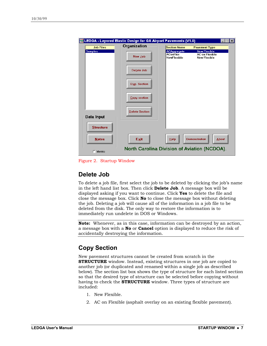|                  | LEDGA - Layered Elastic Design for GA Airport Pavements (V1.0) |                                               |                                                                     |              |
|------------------|----------------------------------------------------------------|-----------------------------------------------|---------------------------------------------------------------------|--------------|
| <b>Job Files</b> | Organization                                                   | <b>Section Name</b>                           | <b>Pavement Type</b>                                                |              |
| <b>Samples</b>   | New Job                                                        | <b>ACAggregate</b><br>AConFlex<br>NewFlexible | <b>New Flexible</b><br><b>AC on Flexible</b><br><b>New Flexible</b> |              |
|                  | <b>Delete Job</b>                                              |                                               |                                                                     |              |
|                  | Dup. Section                                                   |                                               |                                                                     |              |
|                  | <b>Copy section</b>                                            |                                               |                                                                     |              |
| Data Input       | <b>Delete Section</b>                                          |                                               |                                                                     |              |
| <b>Structure</b> |                                                                |                                               |                                                                     |              |
| <b>Notes</b>     | Exit                                                           | Help                                          | <b>Demonstration</b>                                                | <b>About</b> |
| $\Gamma$ Metric  | North Carolina Division of Aviation (NCDOA).                   |                                               |                                                                     |              |

Figure 2. Startup Window

#### **Delete Job**

To delete a job file, first select the job to be deleted by clicking the job's name in the left hand list box. Then click **Delete Job**. A message box will be displayed asking if you want to continue. Click **Yes** to delete the file and close the message box. Click **No** to close the message box without deleting the job. Deleting a job will cause all of the information in a job file to be deleted from the disk. The only way to restore the information is to immediately run undelete in DOS or Windows.

**Note:** Whenever, as in this case, information can be destroyed by an action, a message box with a **No** or **Cancel** option is displayed to reduce the risk of accidentally destroying the information.

#### **Copy Section**

New pavement structures cannot be created from scratch in the **STRUCTURE** window. Instead, existing structures in one job are copied to another job (or duplicated and renamed within a single job as described below). The section list box shows the type of structure for each listed section so that the desired type of structure can be selected before copying without having to check the **STRUCTURE** window. Three types of structure are included:

- 1. New Flexible.
- 2. AC on Flexible (asphalt overlay on an existing flexible pavement).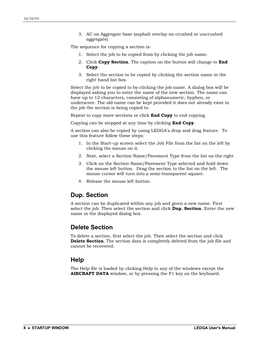3. AC on Aggregate base (asphalt overlay on crushed or uncrushed aggregate).

The sequence for copying a section is:

- 1. Select the job to be copied from by clicking the job name.
- 2. Click **Copy Section**. The caption on the button will change to **End Copy**.
- 3. Select the section to be copied by clicking the section name in the right hand list box.

Select the job to be copied to by clicking the job name. A dialog box will be displayed asking you to enter the name of the new section. The name can have up to 12 characters, consisting of alphanumeric, hyphen, or underscore. The old name can be kept provided it does not already exist in the job the section is being copied to.

Repeat to copy more sections or click **End Copy** to end copying.

Copying can be stopped at any time by clicking **End Copy**.

A section can also be copied by using LEDGA's drop and drag feature. To use this feature follow these steps:

- 1. In the Start-up screen select the Job File from the list on the left by clicking the mouse on it.
- 2. Next, select a Section Name/Pavement Type from the list on the right.
- 3. Click on the Section Name/Pavement Type selected and hold down the mouse left button. Drag the section to the list on the left. The mouse cursor will turn into a semi-transparent square.
- 4. Release the mouse left button.

#### **Dup. Section**

A section can be duplicated within any job and given a new name. First select the job. Then select the section and click **Dup. Section**. Enter the new name in the displayed dialog box.

#### **Delete Section**

To delete a section, first select the job. Then select the section and click **Delete Section.** The section data is completely deleted from the job file and cannot be recovered.

#### **Help**

The Help file is loaded by clicking Help in any of the windows except the **AIRCRAFT DATA** window, or by pressing the F1 key on the keyboard.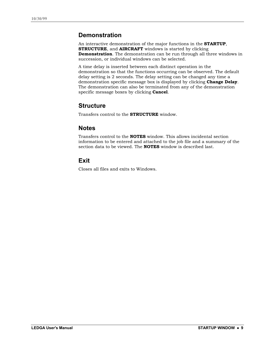### **Demonstration**

An interactive demonstration of the major functions in the **STARTUP**, **STRUCTURE**, and **AIRCRAFT** windows is started by clicking **Demonstration**. The demonstration can be run through all three windows in succession, or individual windows can be selected.

A time delay is inserted between each distinct operation in the demonstration so that the functions occurring can be observed. The default delay setting is 2 seconds. The delay setting can be changed any time a demonstration specific message box is displayed by clicking **Change Delay**. The demonstration can also be terminated from any of the demonstration specific message boxes by clicking **Cancel**.

### **Structure**

Transfers control to the **STRUCTURE** window.

### **Notes**

Transfers control to the **NOTES** window. This allows incidental section information to be entered and attached to the job file and a summary of the section data to be viewed. The **NOTES** window is described last.

### **Exit**

Closes all files and exits to Windows.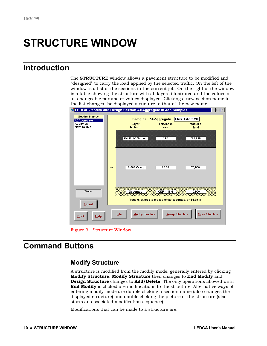## <span id="page-13-0"></span>**STRUCTURE WINDOW**

### **Introduction**

The **STRUCTURE** window allows a pavement structure to be modified and "designed" to carry the load applied by the selected traffic. On the left of the window is a list of the sections in the current job. On the right of the window is a table showing the structure with all layers illustrated and the values of all changeable parameter values displayed. Clicking a new section name in the list changes the displayed structure to that of the new name.

| 题 LEDGA - Modify and Design Section ACAggregate in Job Samples<br>Ixl        |                                                                                                                                   |  |  |  |
|------------------------------------------------------------------------------|-----------------------------------------------------------------------------------------------------------------------------------|--|--|--|
| <b>Section Names</b><br><b>ACAqqreqate</b><br><b>AConFlex</b><br>NewFlexible | Des. Life $= 20$<br><b>Samples ACAggregate</b><br><b>Thickness</b><br><b>Modulus</b><br>Layer<br><b>Material</b><br>(in)<br>(psi) |  |  |  |
|                                                                              | P-401 AC Surface<br>200,000<br>4.50                                                                                               |  |  |  |
|                                                                              | P-209 Cr Aq<br>75,000<br>10.00<br>$\rightarrow$                                                                                   |  |  |  |
| <b>Status</b><br><b>Aircraft</b>                                             | $CBR = 10.0$<br>Subgrade<br>10.000<br>188888<br>∞∞∞∞∞∞∞<br>Total thickness to the top of the subgrade, $t = 14.50$ in             |  |  |  |
| <b>Back</b><br>Help                                                          | <b>Modify Structure</b><br>Life<br><b>Design Structure</b><br><b>Save Structure</b>                                               |  |  |  |

Figure 3. Structure Window

### **Command Buttons**

### **Modify Structure**

A structure is modified from the modify mode, generally entered by clicking **Modify Structure**. **Modify Structure** then changes to **End Modify** and **Design Structure** changes to **Add/Delete**. The only operations allowed until **End Modify** is clicked are modifications to the structure. Alternative ways of entering modify mode are double clicking a section name (also changes the displayed structure) and double clicking the picture of the structure (also starts an associated modification sequence).

Modifications that can be made to a structure are: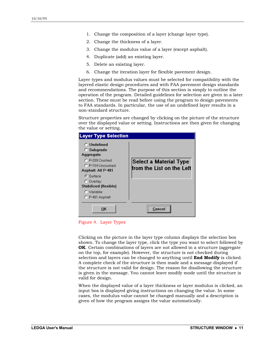- 1. Change the composition of a layer (change layer type).
- 2. Change the thickness of a layer.
- 3. Change the modulus value of a layer (except asphalt).
- 4. Duplicate (add) an existing layer.
- 5. Delete an existing layer.
- 6. Change the iteration layer for flexible pavement design.

Layer types and modulus values must be selected for compatibility with the layered elastic design procedures and with FAA pavement design standards and recommendations. The purpose of this section is simply to outline the operation of the program. Detailed guidelines for selection are given in a later section. These must be read before using the program to design pavements to FAA standards. In particular, the use of an undefined layer results in a non-standard structure.

Structure properties are changed by clicking on the picture of the structure over the displayed value or setting. Instructions are then given for changing the value or setting.



Figure 4. Layer Types

Clicking on the picture in the layer type column displays the selection box shown. To change the layer type, click the type you want to select followed by **OK**. Certain combinations of layers are not allowed in a structure (aggregate on the top, for example). However, the structure is not checked during selection and layers can be changed to anything until **End Modify** is clicked. A complete check of the structure is then made and a message displayed if the structure is not valid for design. The reason for disallowing the structure is given in the message. You cannot leave modify mode until the structure is valid for design.

When the displayed value of a layer thickness or layer modulus is clicked, an input box is displayed giving instructions on changing the value. In some cases, the modulus value cannot be changed manually and a description is given of how the program assigns the value automatically.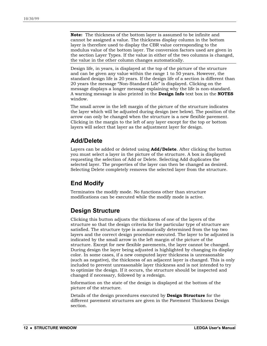**Note:** The thickness of the bottom layer is assumed to be infinite and cannot be assigned a value. The thickness display column in the bottom layer is therefore used to display the CBR value corresponding to the modulus value of the bottom layer. The conversion factors used are given in the section Layer Types. If the value in either of the two columns is changed, the value in the other column changes automatically.

Design life, in years, is displayed at the top of the picture of the structure and can be given any value within the range 1 to 50 years. However, the standard design life is 20 years. If the design life of a section is different than 20 years the message "Non-Standard Life" is displayed. Clicking on the message displays a longer message explaining why the life is non-standard. A warning message is also printed in the **Design Info** text box in the **NOTES** window.

The small arrow in the left margin of the picture of the structure indicates the layer which will be adjusted during design (see below). The position of the arrow can only be changed when the structure is a new flexible pavement. Clicking in the margin to the left of any layer except for the top or bottom layers will select that layer as the adjustment layer for design.

#### **Add/Delete**

Layers can be added or deleted using **Add/Delete**. After clicking the button you must select a layer in the picture of the structure. A box is displayed requesting the selection of Add or Delete. Selecting Add duplicates the selected layer. The properties of the layer can then be changed as desired. Selecting Delete completely removes the selected layer from the structure.

#### **End Modify**

Terminates the modify mode. No functions other than structure modifications can be executed while the modify mode is active.

#### **Design Structure**

Clicking this button adjusts the thickness of one of the layers of the structure so that the design criteria for the particular type of structure are satisfied. The structure type is automatically determined from the top two layers and the correct design procedure executed. The layer to be adjusted is indicated by the small arrow in the left margin of the picture of the structure. Except for new flexible pavements, the layer cannot be changed. During design the layer being adjusted is highlighted by changing its display color. In some cases, if a new computed layer thickness is unreasonable (such as negative), the thickness of an adjacent layer is changed. This is only included to prevent unreasonable layer thickness and is not intended to try to optimize the design. If it occurs, the structure should be inspected and changed if necessary, followed by a redesign.

Information on the state of the design is displayed at the bottom of the picture of the structure.

Details of the design procedures executed by **Design Structure** for the different pavement structures are given in the Pavement Thickness Design section.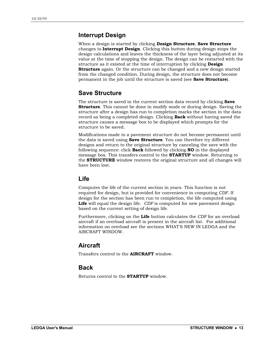#### **Interrupt Design**

When a design is started by clicking **Design Structure**, **Save Structure** changes to **Interrupt Design**. Clicking this button during design stops the design calculations and leaves the thickness of the layer being adjusted at its value at the time of stopping the design. The design can be restarted with the structure as it existed at the time of interruption by clicking **Design Structure** again. Or the structure can be changed and a new design started from the changed condition. During design, the structure does not become permanent in the job until the structure is saved (see **Save Structure**).

### **Save Structure**

The structure is saved in the current section data record by clicking **Save Structure**. This cannot be done in modify mode or during design. Saving the structure after a design has run to completion marks the section in the data record as being a completed design. Clicking **Back** without having saved the structure causes a message box to be displayed which prompts for the structure to be saved.

Modifications made to a pavement structure do not become permanent until the data is saved using **Save Structure**. You can therefore try different designs and return to the original structure by canceling the save with the following sequence: click **Back** followed by clicking **NO** in the displayed message box. This transfers control to the **STARTUP** window. Returning to the **STRUCTURE** window restores the original structure and all changes will have been lost.

#### **Life**

Computes the life of the current section in years. This function is not required for design, but is provided for convenience in computing *CDF*. If design for the section has been run to completion, the life computed using **Life** will equal the design life. *CDF* is computed for new pavement design based on the current setting of design life.

Furthermore, clicking on the **Life** button calculates the *CDF* for an overload aircraft if an overload aircraft is present in the aircraft list. For additional information on overload see the sections WHAT'S NEW IN LEDGA and the AIRCRAFT WINDOW.

### **Aircraft**

Transfers control to the **AIRCRAFT** window.

#### **Back**

Returns control to the **STARTUP** window.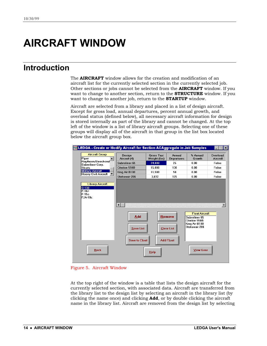## <span id="page-17-0"></span>**AIRCRAFT WINDOW**

### **Introduction**

The **AIRCRAFT** window allows for the creation and modification of an aircraft list for the currently selected section in the currently selected job. Other sections or jobs cannot be selected from the **AIRCRAFT** window. If you want to change to another section, return to the **STRUCTURE** window. If you want to change to another job, return to the **STARTUP** window.

Aircraft are selected from a library and placed in a list of design aircraft. Except for gross load, annual departures, percent annual growth, and overload status (defined below), all necessary aircraft information for design is stored internally as part of the library and cannot be changed. At the top left of the window is a list of library aircraft groups. Selecting one of these groups will display all of the aircraft in that group in the list box located below the aircraft group box.





At the top right of the window is a table that lists the design aircraft for the currently selected section, with associated data. Aircraft are transferred from the library list to the design list by selecting an aircraft in the library list (by clicking the name once) and clicking **Add**, or by double clicking the aircraft name in the library list. Aircraft are removed from the design list by selecting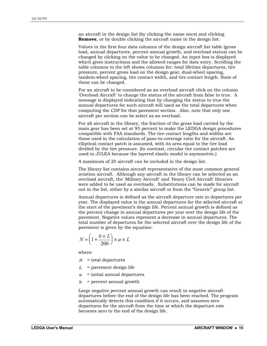an aircraft in the design list (by clicking the name once) and clicking **Remove**, or by double clicking the aircraft name in the design list.

Values in the first four data columns of the design aircraft list table (gross load, annual departures, percent annual growth, and overload status) can be changed by clicking on the value to be changed. An input box is displayed which gives instructions and the allowed ranges for data entry. Scrolling the table columns to the left shows columns for: total lifetime departures, tire pressure, percent gross load on the design gear, dual-wheel spacing, tandem-wheel spacing, tire contact width, and tire contact length. None of these can be changed.

For an aircraft to be considered as an overload aircraft click on the column 'Overload Aircraft' to change the status of the aircraft from false to true. A message is displayed indicating that by changing the status to true the annual departures for such aircraft will used as the total departures when computing the *CDF* for that pavement section. Also, note that only one aircraft per section can be select as an overload.

For all aircraft in the library, the fraction of the gross load carried by the main gear has been set at 95 percent to make the LEDGA design procedures compatible with FAA standards. The tire contact lengths and widths are those used in the calculation of pass-to-coverage ratio for the aircraft. An elliptical contact patch is assumed, with its area equal to the tire load divided by the tire pressure. (In contrast, circular tire contact patches are used in JULEA because the layered elastic model is asymmetric.)

A maximum of 20 aircraft can be included in the design list.

The library list contains aircraft representative of the most common general aviation aircraft. Although any aircraft in the library can be selected as an overload aircraft, the 'Military Aircraft' and 'Heavy Civil Aircraft' libraries were added to be used as overloads. Substitutions can be made for aircraft not in the list, either by a similar aircraft or from the "Generic" group list.

Annual departures is defined as the aircraft departure rate in departures per year. The displayed value is the annual departures for the selected aircraft at the start of the pavement's design life. Percent annual growth is defined as the percent change in annual departures per year over the design life of the pavement. Negative values represent a decrease in annual departures. The total number of departures for the selected aircraft over the design life of the pavement is given by the equation:

$$
N = \left(1 + \frac{b \times L}{200}\right) \times a \times L
$$

where:

- *N* = total departures
- *L* = pavement design life
- *a* = initial annual departures
- *b* = percent annual growth

Large negative percent annual growth can result in negative aircraft departures before the end of the design life has been reached. The program automatically detects this condition if it occurs, and assumes zero departures for the aircraft from the time at which the departure rate becomes zero to the end of the design life.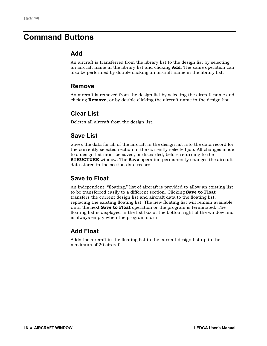### <span id="page-19-0"></span>**Command Buttons**

#### **Add**

An aircraft is transferred from the library list to the design list by selecting an aircraft name in the library list and clicking **Add**. The same operation can also be performed by double clicking an aircraft name in the library list.

#### **Remove**

An aircraft is removed from the design list by selecting the aircraft name and clicking **Remove**, or by double clicking the aircraft name in the design list.

### **Clear List**

Deletes all aircraft from the design list.

### **Save List**

Saves the data for all of the aircraft in the design list into the data record for the currently selected section in the currently selected job. All changes made to a design list must be saved, or discarded, before returning to the **STRUCTURE** window. The **Save** operation permanently changes the aircraft data stored in the section data record.

### **Save to Float**

An independent, "floating," list of aircraft is provided to allow an existing list to be transferred easily to a different section. Clicking **Save to Float** transfers the current design list and aircraft data to the floating list, replacing the existing floating list. The new floating list will remain available until the next **Save to Float** operation or the program is terminated. The floating list is displayed in the list box at the bottom right of the window and is always empty when the program starts.

### **Add Float**

Adds the aircraft in the floating list to the current design list up to the maximum of 20 aircraft.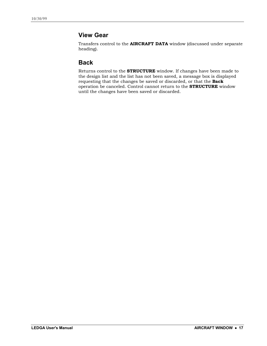### **View Gear**

Transfers control to the **AIRCRAFT DATA** window (discussed under separate heading).

#### **Back**

Returns control to the **STRUCTURE** window. If changes have been made to the design list and the list has not been saved, a message box is displayed requesting that the changes be saved or discarded, or that the **Back** operation be canceled. Control cannot return to the **STRUCTURE** window until the changes have been saved or discarded.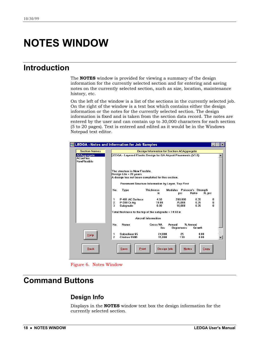## <span id="page-21-0"></span>**NOTES WINDOW**

### **Introduction**

The **NOTES** window is provided for viewing a summary of the design information for the currently selected section and for entering and saving notes on the currently selected section, such as size, location, maintenance history, etc.

On the left of the window is a list of the sections in the currently selected job. On the right of the window is a text box which contains either the design information or the notes for the currently selected section. The design information is fixed and is taken from the section data record. The notes are entered by the user and can contain up to 30,000 characters for each section (5 to 20 pages). Text is entered and edited as it would be in the Windows Notepad text editor.

| <b>LEDGA - Notes and Information for Job Samples</b>        |                                                                                                  |  |  |  |
|-------------------------------------------------------------|--------------------------------------------------------------------------------------------------|--|--|--|
| <b>Section Names</b>                                        | <b>Design Information for Section ACAggregate</b>                                                |  |  |  |
| <b>ACAggregate</b><br><b>AConFlex</b><br><b>NewFlexible</b> | LEDGA - Layered Elastic Design for GA Airport Pavements (V1.0)                                   |  |  |  |
|                                                             | The structure is New Flexible.                                                                   |  |  |  |
|                                                             | Design Life = 20 years.<br>A design has not been completed for this section.                     |  |  |  |
|                                                             |                                                                                                  |  |  |  |
|                                                             | Pavement Structure Information by Layer, Top First                                               |  |  |  |
|                                                             | <b>Thickness</b><br>Modulus Poisson's Strength<br>No.<br>Type<br>R. psi<br>Ratio<br>psi<br>in.   |  |  |  |
|                                                             | P-401 AC Surface<br>4.50<br>200.000<br>0.35<br>1<br>0                                            |  |  |  |
|                                                             | 0.35<br>2<br>10.00<br>75.000<br>P-209 Cr Ag<br>0<br>3<br>10.000<br>0.35<br>Subgrade<br>0.00<br>n |  |  |  |
|                                                             |                                                                                                  |  |  |  |
|                                                             | Total thickness to the top of the subgrade = 14.50 in                                            |  |  |  |
|                                                             | <b>Aircraft Information</b>                                                                      |  |  |  |
|                                                             | No.<br>Gross Wt.<br>% Annual<br>Name<br>Annual<br><b>Departures</b><br>Growth<br>lbs             |  |  |  |
| Help                                                        | Sabreliner 65<br>25<br>0.00<br>24.000<br>1<br>2<br>15.000<br><b>Citation 550B</b><br>130<br>0.00 |  |  |  |
| <b>Back</b>                                                 | <b>Save</b><br>Design Info<br><b>Notes</b><br>Print<br>Copy                                      |  |  |  |

Figure 6. Notes Window

### **Command Buttons**

### **Design Info**

Displays in the **NOTES** window text box the design information for the currently selected section.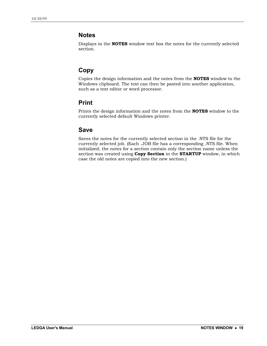#### **Notes**

Displays in the **NOTES** window text box the notes for the currently selected section.

### **Copy**

Copies the design information and the notes from the **NOTES** window to the Windows clipboard. The text can then be pasted into another application, such as a text editor or word processor.

### **Print**

Prints the design information and the notes from the **NOTES** window to the currently selected default Windows printer.

### **Save**

Saves the notes for the currently selected section in the .NTS file for the currently selected job. (Each .JOB file has a corresponding .NTS file. When initialized, the notes for a section contain only the section name unless the section was created using **Copy Section** in the **STARTUP** window, in which case the old notes are copied into the new section.)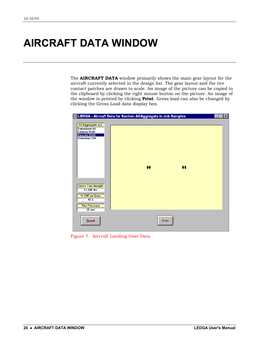## <span id="page-23-0"></span>**AIRCRAFT DATA WINDOW**

The **AIRCRAFT DATA** window primarily shows the main gear layout for the aircraft currently selected in the design list. The gear layout and the tire contact patches are drawn to scale. An image of the picture can be copied to the clipboard by clicking the right mouse button on the picture. An image of the window is printed by clicking **Print**. Gross load can also be changed by clicking the Gross Load data display box.

|                                                                                                    | LEDGA - Aircraft Data for Section ACAggregate in Job Samples | × |
|----------------------------------------------------------------------------------------------------|--------------------------------------------------------------|---|
| ACAggregate a/c<br>Sabreliner 65<br><b>Citation 550B</b><br>King Air B100<br><b>Stationair 206</b> |                                                              |   |
| <b>Gross Taxi Weight</b><br>$11,500$ lbs                                                           | $\bullet\bullet$<br>$\bullet$                                |   |
| % GW on Gear<br>47.5<br><b>Tire Pressure</b><br>52 psi                                             |                                                              |   |
| $\overline{\text{Back}}$                                                                           | Print                                                        |   |

Figure 7. Aircraft Landing Gear Data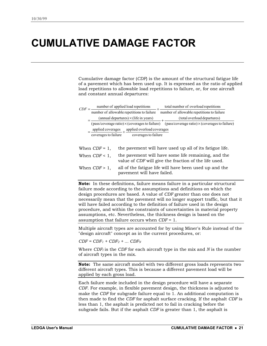## <span id="page-24-0"></span>**CUMULATIVE DAMAGE FACTOR**

Cumulative damage factor (*CDF*) is the amount of the structural fatigue life of a pavement which has been used up. It is expressed as the ratio of applied load repetitions to allowable load repetitions to failure, or, for one aircraft and constant annual departures:

|                                                                                          |                  |                                                                                                                                       | total number of overload repetitions                                                                        |
|------------------------------------------------------------------------------------------|------------------|---------------------------------------------------------------------------------------------------------------------------------------|-------------------------------------------------------------------------------------------------------------|
| $CDF =$ number of applied load repetitions<br>number of allowable repetitions to failure |                  |                                                                                                                                       | number of allowable repetitions to failure                                                                  |
|                                                                                          |                  | $(annual\ departures) \times (life\ in\ years)$                                                                                       | (total overload departures)                                                                                 |
|                                                                                          |                  |                                                                                                                                       | (pass/coverage ratio) $\times$ (coverages to failure) (pass/coverage ratio) $\times$ (coverages to failure) |
|                                                                                          |                  |                                                                                                                                       |                                                                                                             |
|                                                                                          |                  | $=\frac{\text{applied coverages}}{\text{coverage to failure}} + \frac{\text{applied overload coverages}}{\text{coverage to failure}}$ |                                                                                                             |
|                                                                                          |                  |                                                                                                                                       |                                                                                                             |
|                                                                                          | When $CDF = 1$ , |                                                                                                                                       | the pavement will have used up all of its fatigue life.                                                     |
|                                                                                          | When $CDF < 1$ , |                                                                                                                                       | the pavement will have some life remaining, and the                                                         |

value of *CDF* will give the fraction of the life used. When *CDF* > 1, all of the fatigue life will have been used up and the

pavement will have failed.

**Note:** In these definitions, failure means failure in a particular structural failure mode according to the assumptions and definitions on which the design procedures are based. A value of *CDF* greater than one does not necessarily mean that the pavement will no longer support traffic, but that it will have failed according to the definition of failure used in the design procedure, and within the constraints of uncertainties in material property assumptions, etc. Nevertheless, the thickness design is based on the assumption that failure occurs when *CDF* = 1.

Multiple aircraft types are accounted for by using Miner's Rule instead of the "design aircraft" concept as in the current procedures, or:

 $CDF = CDF_1 + CDF_2 + ... CDF_N$ 

Where *CDFI* is the *CDF* for each aircraft type in the mix and *N* is the number of aircraft types in the mix.

**Note:** The same aircraft model with two different gross loads represents two different aircraft types. This is because a different pavement load will be applied by each gross load.

Each failure mode included in the design procedure will have a separate *CDF*. For example, in flexible pavement design, the thickness is adjusted to make the *CDF* for subgrade failure equal to 1. An additional computation is then made to find the *CDF* for asphalt surface cracking. If the asphalt *CDF* is less than 1, the asphalt is predicted not to fail in cracking before the subgrade fails. But if the asphalt *CDF* is greater than 1, the asphalt is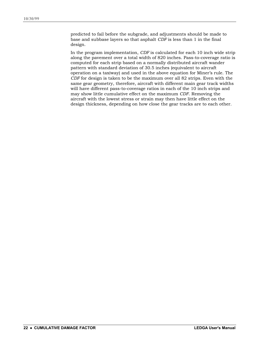predicted to fail before the subgrade, and adjustments should be made to base and subbase layers so that asphalt *CDF* is less than 1 in the final design.

In the program implementation, *CDF* is calculated for each 10 inch wide strip along the pavement over a total width of 820 inches. Pass-to-coverage ratio is computed for each strip based on a normally distributed aircraft wander pattern with standard deviation of 30.5 inches (equivalent to aircraft operation on a taxiway) and used in the above equation for Miner's rule. The *CDF* for design is taken to be the maximum over all 82 strips. Even with the same gear geometry, therefore, aircraft with different main gear track widths will have different pass-to-coverage ratios in each of the 10 inch strips and may show little cumulative effect on the maximum *CDF*. Removing the aircraft with the lowest stress or strain may then have little effect on the design thickness, depending on how close the gear tracks are to each other.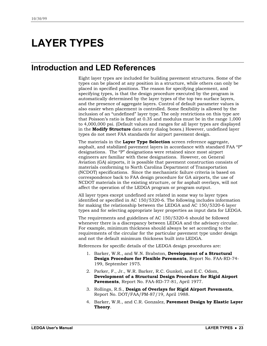## <span id="page-26-0"></span>**LAYER TYPES**

### **Introduction and LED References**

Eight layer types are included for building pavement structures. Some of the types can be placed at any position in a structure, while others can only be placed in specified positions. The reason for specifying placement, and specifying types, is that the design procedure executed by the program is automatically determined by the layer types of the top two surface layers, and the presence of aggregate layers. Control of default parameter values is also easier when placement is controlled. Some flexibility is allowed by the inclusion of an "undefined" layer type. The only restrictions on this type are that Poisson's ratio is fixed at 0.35 and modulus must be in the range 1,000 to 4,000,000 psi. (Default values and ranges for all layer types are displayed in the **Modify Structure** data entry dialog boxes.) However, undefined layer types do not meet FAA standards for airport pavement design.

The materials in the **Layer Type Selection** screen reference aggregate, asphalt, and stabilized pavement layers in accordance with standard FAA "P" designations. The "P" designations were retained since most airport engineers are familiar with these designations. However, on General Aviation (GA) airports, it is possible that pavement construction consists of materials conforming to North Carolina Department of Transportation (NCDOT) specifications. Since the mechanistic failure criteria is based on correspondence back to FAA design procedure for GA airports, the use of NCDOT materials in the existing structure, or for asphalt overlays, will not affect the operation of the LEDGA program or program output.

All layer types except undefined are related in some way to layer types identified or specified in AC 150/5320-6. The following includes information for making the relationship between the LEDGA and AC 150/5320-6 layer types and for selecting appropriate layer properties as input data for LEDGA.

The requirements and guidelines of AC 150/5320-6 should be followed whenever there is a discrepancy between LEDGA and the advisory circular. For example, minimum thickness should always be set according to the requirements of the circular for the particular pavement type under design and not the default minimum thickness built into LEDGA.

References for specific details of the LEDGA design procedures are:

- 1. Barker, W.R., and W.N. Brabston, **Development of a Structural Design Procedure for Flexible Pavements**, Report No. FAA-RD-74- 199, September 1975.
- 2. Parker, F., Jr., W.R. Barker, R.C. Gunkel, and E.C. Odom, **Development of a Structural Design Procedure for Rigid Airport Pavements**, Report No. FAA-RD-77-81, April 1977.
- 3. Rollings, R.S., **Design of Overlays for Rigid Airport Pavements**, Report No. DOT/FAA/PM-87/19, April 1988.
- 4. Barker, W.R., and C.R. Gonzalez, **Pavement Design by Elastic Layer Theory**.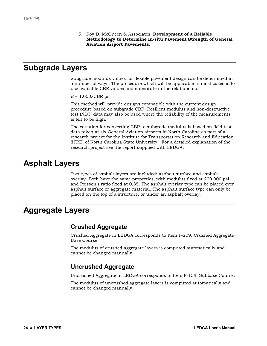5. Roy D. McQueen & Associates, **Development of a Reliable Methodology to Determine In-situ Pavement Strength of General Aviation Airport Pavements**.

### <span id="page-27-0"></span>**Subgrade Layers**

Subgrade modulus values for flexible pavement design can be determined in a number of ways. The procedure which will be applicable in most cases is to use available CBR values and substitute in the relationship:

*E* = 1,000×CBR psi

This method will provide designs compatible with the current design procedure based on subgrade CBR. Resilient modulus and non-destructive test (NDT) data may also be used where the reliability of the measurements is felt to be high.

The equation for converting CBR to subgrade modulus is based on field test data taken at six General Aviation airports in North Carolina as part of a research project for the Institute for Transportation Research and Education (ITRE) of North Carolina State University. For a detailed explanation of the research project see the report supplied with LEDGA.

### **Asphalt Layers**

Two types of asphalt layers are included: asphalt surface and asphalt overlay. Both have the same properties, with modulus fixed at 200,000 psi and Poisson's ratio fixed at 0.35. The asphalt overlay type can be placed over asphalt surface or aggregate material. The asphalt surface type can only be placed on the top of a structure, or under an asphalt overlay.

### **Aggregate Layers**

#### **Crushed Aggregate**

Crushed Aggregate in LEDGA corresponds to Item P-209, Crushed Aggregate Base Course.

The modulus of crushed aggregate layers is computed automatically and cannot be changed manually.

#### **Uncrushed Aggregate**

Uncrushed Aggregate in LEDGA corresponds to Item P-154, Subbase Course.

The modulus of uncrushed aggregate layers is computed automatically and cannot be changed manually.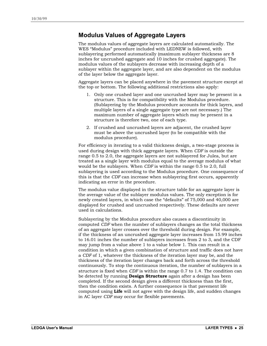#### **Modulus Values of Aggregate Layers**

The modulus values of aggregate layers are calculated automatically. The WES "Modulus" procedure included with LEDNEW is followed, with sublayering performed automatically (maximum sublayer thickness are 8 inches for uncrushed aggregate and 10 inches for crushed aggregate). The modulus values of the sublayers decrease with increasing depth of a sublayer within the aggregate layer, and are also dependent on the modulus of the layer below the aggregate layer.

Aggregate layers can be placed anywhere in the pavement structure except at the top or bottom. The following additional restrictions also apply:

- 1. Only one crushed layer and one uncrushed layer may be present in a structure. This is for compatibility with the Modulus procedure. (Sublayering by the Modulus procedure accounts for thick layers, and multiple layers of a single aggregate type are not necessary.) The maximum number of aggregate layers which may be present in a structure is therefore two, one of each type.
- 2. If crushed and uncrushed layers are adjacent, the crushed layer must be above the uncrushed layer (to be compatible with the modulus procedure).

For efficiency in iterating to a valid thickness design, a two-stage process is used during design with thick aggregate layers. When *CDF* is outside the range 0.5 to 2.0, the aggregate layers are not sublayered for Julea, but are treated as a single layer with modulus equal to the average modulus of what would be the sublayers. When *CDF* is within the range 0.5 to 2.0, full sublayering is used according to the Modulus procedure. One consequence of this is that the *CDF* can increase when sublayering first occurs, apparently indicating an error in the procedure.

The modulus value displayed in the structure table for an aggregate layer is the average value of the sublayer modulus values. The only exception is for newly created layers, in which case the "defaults" of 75,000 and 40,000 are displayed for crushed and uncrushed respectively. These defaults are never used in calculations.

Sublayering by the Modulus procedure also causes a discontinuity in computed *CDF* when the number of sublayers changes as the total thickness of an aggregate layer crosses over the threshold during design. For example, if the thickness of an uncrushed aggregate layer increases from 15.99 inches to 16.01 inches the number of sublayers increases from 2 to 3, and the CDF may jump from a value above 1 to a value below 1. This can result in a condition in which a given combination of structure and traffic does not have a *CDF* of 1, whatever the thickness of the iteration layer may be, and the thickness of the iteration layer changes back and forth across the threshold continuously. To stop the continuous iteration, the number of sublayers in a structure is fixed when *CDF* is within the range 0.7 to 1.4. The condition can be detected by running **Design Structure** again after a design has been completed. If the second design gives a different thickness than the first, then the condition exists. A further consequence is that pavement life computed using **Life** will not agree with the design life, and sudden changes in AC layer *CDF* may occur for flexible pavements.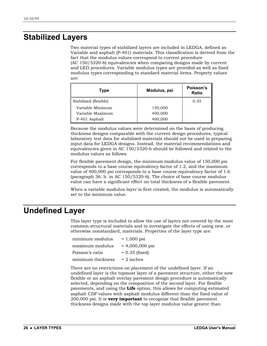### <span id="page-29-0"></span>**Stabilized Layers**

Two material types of stabilized layers are included in LEDGA, defined as Variable and asphalt (P-401) materials. This classification is derived from the fact that the modulus values correspond to current procedure (AC 150/5320-6) equivalencies when comparing designs made by current and LED procedures. Variable modulus types are provided as well as fixed modulus types corresponding to standard material items. Property values are:

| Type                  | Modulus, psi | Poisson's<br>Ratio |
|-----------------------|--------------|--------------------|
| Stabilized (flexible) |              | 0.35               |
| Variable Minimum      | 150,000      |                    |
| Variable Maximum      | 400,000      |                    |
| P-401 Asphalt         | 400,000      |                    |

Because the modulus values were determined on the basis of producing thickness designs comparable with the current design procedures, typical laboratory test data for stabilized materials should not be used in preparing input data for LEDGA designs. Instead, the material recommendations and equivalencies given in AC 150/5320-6 should be followed and related to the modulus values as follows.

For flexible pavement design, the minimum modulus value of 150,000 psi corresponds to a base course equivalency factor of 1.2, and the maximum value of 400,000 psi corresponds to a base course equivalency factor of 1.6 (paragraph 36. b. in AC 150/5320-6). The choice of base course modulus value can have a significant effect on total thickness of a flexible pavement.

When a variable modulus layer is first created, the modulus is automatically set to the minimum value.

### **Undefined Layer**

This layer type is included to allow the use of layers not covered by the most common structural materials and to investigate the effects of using new, or otherwise nonstandard, materials. Properties of the layer type are:

| $= 1,000$ psi     |
|-------------------|
| $= 4,000,000$ psi |
| $= 0.35$ (fixed)  |
| $= 2$ inches      |
|                   |

There are no restrictions on placement of the undefined layer. If an undefined layer is the topmost layer of a pavement structure, either the new flexible or an asphalt overlay pavement design procedure is automatically selected, depending on the composition of the second layer. For flexible pavements, and using the **Life** option, this allows for computing estimated asphalt *CDF* values with asphalt modulus different than the fixed value of 200,000 psi. It is **very important** to recognize that flexible pavement thickness designs made with the top layer modulus value greater than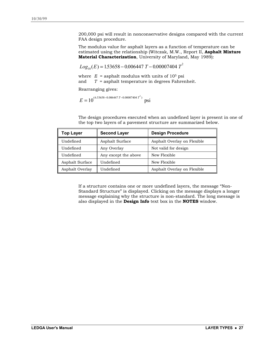200,000 psi will result in nonconservative designs compared with the current FAA design procedure.

The modulus value for asphalt layers as a function of temperature can be estimated using the relationship (Witczak, M.W., Report II, **Asphalt Mixture Material Characterization**, University of Maryland, May 1989):

 $Log_{10}(E) = 1.53658 - 0.006447 T - 0.00007404 T^2$ 

where  $E =$  asphalt modulus with units of  $10<sup>5</sup>$  psi and *T* = asphalt temperature in degrees Fahrenheit.

Rearranging gives:

$$
E = 10^{(6.53658 - 0.006447 T - 0.00007404 T^2)} \text{ psi}
$$

The design procedures executed when an undefined layer is present in one of the top two layers of a pavement structure are summarized below.

| <b>Top Layer</b> | <b>Second Layer</b>  | <b>Design Procedure</b>     |
|------------------|----------------------|-----------------------------|
| Undefined        | Asphalt Surface      | Asphalt Overlay on Flexible |
| Undefined        | Any Overlay          | Not valid for design        |
| Undefined        | Any except the above | New Flexible                |
| Asphalt Surface  | Undefined            | New Flexible                |
| Asphalt Overlay  | Undefined            | Asphalt Overlay on Flexible |

If a structure contains one or more undefined layers, the message "Non-Standard Structure" is displayed. Clicking on the message displays a longer message explaining why the structure is non-standard. The long message is also displayed in the **Design Info** text box in the **NOTES** window.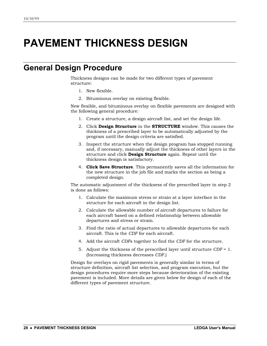## <span id="page-31-0"></span>**PAVEMENT THICKNESS DESIGN**

### **General Design Procedure**

Thickness designs can be made for two different types of pavement structure:

- 1. New flexible.
- 2. Bituminous overlay on existing flexible.

New flexible, and bituminous overlay on flexible pavements are designed with the following general procedure:

- 1. Create a structure, a design aircraft list, and set the design life.
- 2. Click **Design Structure** in the **STRUCTURE** window. This causes the thickness of a prescribed layer to be automatically adjusted by the program until the design criteria are satisfied.
- 3. Inspect the structure when the design program has stopped running and, if necessary, manually adjust the thickness of other layers in the structure and click **Design Structure** again. Repeat until the thickness design is satisfactory.
- 4. **Click Save Structure**. This permanently saves all the information for the new structure in the job file and marks the section as being a completed design.

The automatic adjustment of the thickness of the prescribed layer in step 2 is done as follows:

- 1. Calculate the maximum stress or strain at a layer interface in the structure for each aircraft in the design list.
- 2. Calculate the allowable number of aircraft departures to failure for each aircraft based on a defined relationship between allowable departures and stress or strain.
- 3. Find the ratio of actual departures to allowable departures for each aircraft. This is the *CDF* for each aircraft.
- 4. Add the aircraft *CDF*s together to find the *CDF* for the structure.
- 5. Adjust the thickness of the prescribed layer until structure *CDF* = 1. (Increasing thickness decreases *CDF*.)

Design for overlays on rigid pavements is generally similar in terms of structure definition, aircraft list selection, and program execution, but the design procedures require more steps because deterioration of the existing pavement is included. More details are given below for design of each of the different types of pavement structure.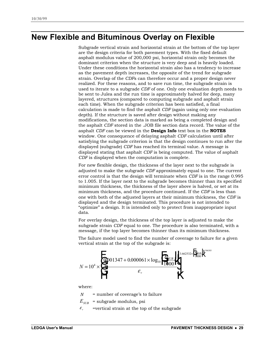### <span id="page-32-0"></span>**New Flexible and Bituminous Overlay on Flexible**

Subgrade vertical strain and horizontal strain at the bottom of the top layer are the design criteria for both pavement types. With the fixed default asphalt modulus value of 200,000 psi, horizontal strain only becomes the dominant criterion when the structure is very deep and is heavily loaded. Under these conditions the horizontal strain also has a tendency to increase as the pavement depth increases, the opposite of the trend for subgrade strain. Overlap of the *CDF*s can therefore occur and a proper design never realized. For these reasons, and to save run time, the subgrade strain is used to iterate to a subgrade *CDF* of one. Only one evaluation depth needs to be sent to Julea and the run time is approximately halved for deep, many layered, structures (compared to computing subgrade and asphalt strain each time). When the subgrade criterion has been satisfied, a final calculation is made to find the asphalt *CDF* (again using only one evaluation depth). If the structure is saved after design without making any modifications, the section data is marked as being a completed design and the asphalt *CDF* stored in the .JOB file section data record. The value of the asphalt *CDF* can be viewed in the **Design Info** text box in the **NOTES** window. One consequence of delaying asphalt *CDF* calculation until after satisfying the subgrade criterion is that the design continues to run after the displayed (subgrade) *CDF* has reached its terminal value. A message is displayed stating that asphalt *CDF* is being computed. The value of asphalt *CDF* is displayed when the computation is complete.

For new flexible design, the thickness of the layer next to the subgrade is adjusted to make the subgrade *CDF* approximately equal to one. The current error control is that the design will terminate when *CDF* is in the range 0.995 to 1.005. If the layer next to the subgrade becomes thinner than its specified minimum thickness, the thickness of the layer above is halved, or set at its minimum thickness, and the procedure continued. If the *CDF* is less than one with both of the adjusted layers at their minimum thickness, the *CDF* is displayed and the design terminated. This procedure is not intended to "optimize" a design. It is intended only to protect from inappropriate input data.

For overlay design, the thickness of the top layer is adjusted to make the subgrade strain *CDF* equal to one. The procedure is also terminated, with a message, if the top layer becomes thinner than its minimum thickness.

The failure model used to find the number of coverage to failure for a given vertical strain at the top of the subgrade is:



where:

 $N =$  number of coverage's to failure

 $E_{\textit{\text{SUB}}}$  = subgrade modulus, psi

<sup>ε</sup> *<sup>v</sup>* =vertical strain at the top of the subgrade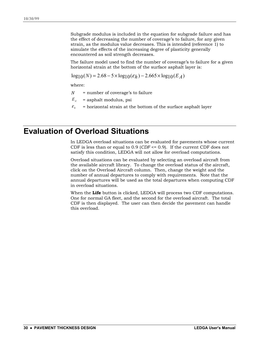<span id="page-33-0"></span>Subgrade modulus is included in the equation for subgrade failure and has the effect of decreasing the number of coverage's to failure, for any given strain, as the modulus value decreases. This is intended (reference 1) to simulate the effects of the increasing degree of plasticity generally encountered as soil strength decreases.

The failure model used to find the number of coverage's to failure for a given horizontal strain at the bottom of the surface asphalt layer is:

 $\log_{10}(N) = 2.68 - 5 \times \log_{10}(\epsilon_h) - 2.665 \times \log_{10}(E_A)$ 

where:

- *N* = number of coverage's to failure
- $E_A$  = asphalt modulus, psi
- $\epsilon$ <sup>*h*</sup> = horizontal strain at the bottom of the surface asphalt layer

### **Evaluation of Overload Situations**

In LEDGA overload situations can be evaluated for pavements whose current CDF is less than or equal to 0.9 (*CDF* <= 0.9). If the current CDF does not satisfy this condition, LEDGA will not allow for overload computations.

Overload situations can be evaluated by selecting an overload aircraft from the available aircraft library. To change the overload status of the aircraft, click on the Overload Aircraft column. Then, change the weight and the number of annual departures to comply with requirements. Note that the annual departures will be used as the total departures when computing CDF in overload situations.

When the **Life** button is clicked, LEDGA will process two CDF computations. One for normal GA fleet, and the second for the overload aircraft. The total CDF is then displayed. The user can then decide the pavement can handle this overload.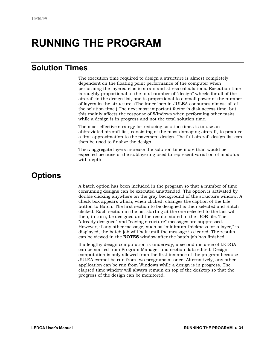## <span id="page-34-0"></span>**RUNNING THE PROGRAM**

### **Solution Times**

The execution time required to design a structure is almost completely dependent on the floating point performance of the computer when performing the layered elastic strain and stress calculations. Execution time is roughly proportional to the total number of "design" wheels for all of the aircraft in the design list, and is proportional to a small power of the number of layers in the structure. (The inner loop in JULEA consumes almost all of the solution time.) The next most important factor is disk access time, but this mainly affects the response of Windows when performing other tasks while a design is in progress and not the total solution time.

The most effective strategy for reducing solution times is to use an abbreviated aircraft list, consisting of the most damaging aircraft, to produce a first approximation to the pavement design. The full aircraft design list can then be used to finalize the design.

Thick aggregate layers increase the solution time more than would be expected because of the sublayering used to represent variation of modulus with depth.

### **Options**

A batch option has been included in the program so that a number of time consuming designs can be executed unattended. The option is activated by double clicking anywhere on the gray background of the structure window. A check box appears which, when clicked, changes the caption of the Life button to Batch. The first section to be designed is then selected and Batch clicked. Each section in the list starting at the one selected to the last will then, in turn, be designed and the results stored in the .JOB file. The "already designed" and "saving structure" messages are suppressed. However, if any other message, such as "minimum thickness for a layer," is displayed, the batch job will halt until the message is cleared. The results can be viewed in the **NOTES** window after the batch job has finished.

If a lengthy design computation is underway, a second instance of LEDGA can be started from Program Manager and section data edited. Design computation is only allowed from the first instance of the program because JULEA cannot be run from two programs at once. Alternatively, any other application can be run from Windows while a design is in progress. The elapsed time window will always remain on top of the desktop so that the progress of the design can be monitored.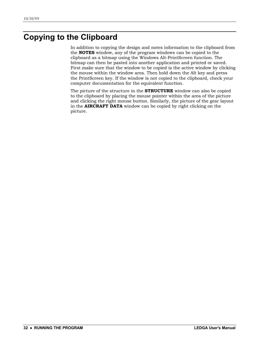### <span id="page-35-0"></span>**Copying to the Clipboard**

In addition to copying the design and notes information to the clipboard from the **NOTES** window, any of the program windows can be copied to the clipboard as a bitmap using the Windows Alt-PrintScreen function. The bitmap can then be pasted into another application and printed or saved. First make sure that the window to be copied is the active window by clicking the mouse within the window area. Then hold down the Alt key and press the PrintScreen key. If the window is not copied to the clipboard, check your computer documentation for the equivalent function.

The picture of the structure in the **STRUCTURE** window can also be copied to the clipboard by placing the mouse pointer within the area of the picture and clicking the right mouse button. Similarly, the picture of the gear layout in the **AIRCRAFT DATA** window can be copied by right clicking on the picture.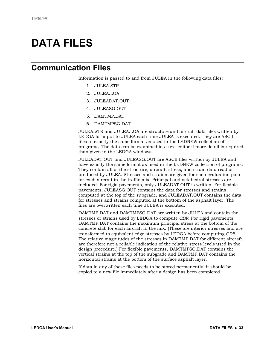## <span id="page-36-0"></span>**DATA FILES**

### **Communication Files**

Information is passed to and from JULEA in the following data files:

- 1. JULEA.STR
- 2. JULEA.LOA
- 3. JULEADAT.OUT
- 4. JULEASG.OUT
- 5. DAMTMP.DAT
- 6. DAMTMPSG.DAT

JULEA.STR and JULEA.LOA are structure and aircraft data files written by LEDGA for input to JULEA each time JULEA is executed. They are ASCII files in exactly the same format as used in the LEDNEW collection of programs. The data can be examined in a text editor if more detail is required than given in the LEDGA windows.

JULEADAT.OUT and JULEASG.OUT are ASCII files written by JULEA and have exactly the same format as used in the LEDNEW collection of programs. They contain all of the structure, aircraft, stress, and strain data read or produced by JULEA. Stresses and strains are given for each evaluation point for each aircraft in the traffic mix. Principal and octahedral stresses are included. For rigid pavements, only JULEADAT.OUT is written. For flexible pavements, JULEASG.OUT contains the data for stresses and strains computed at the top of the subgrade, and JULEADAT.OUT contains the data for stresses and strains computed at the bottom of the asphalt layer. The files are overwritten each time JULEA is executed.

DAMTMP.DAT and DAMTMPSG.DAT are written by JULEA and contain the stresses or strains used by LEDGA to compute *CDF*. For rigid pavements, DAMTMP.DAT contains the maximum principal stress at the bottom of the concrete slab for each aircraft in the mix. (These are interior stresses and are transformed to equivalent edge stresses by LEDGA before computing *CDF*. The relative magnitudes of the stresses in DAMTMP.DAT for different aircraft are therefore not a reliable indication of the relative stress levels used in the design procedure.) For flexible pavements, DAMTMPSG.DAT contains the vertical strains at the top of the subgrade and DAMTMP.DAT contains the horizontal strains at the bottom of the surface asphalt layer.

If data in any of these files needs to be stored permanently, it should be copied to a new file immediately after a design has been completed.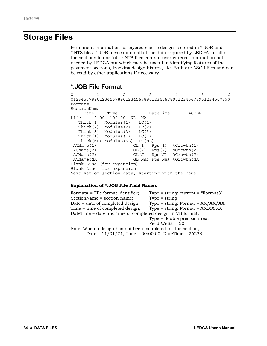### <span id="page-37-0"></span>**Storage Files**

Permanent information for layered elastic design is stored in \*.JOB and \*.NTS files. \*.JOB files contain all of the data required by LEDGA for all of the sections in one job. \*.NTS files contain user entered information not needed by LEDGA but which may be useful in identifying features of the pavement sections, tracking design history, etc. Both are ASCII files and can be read by other applications if necessary.

### **\*.JOB File Format**

0123456 0123456789012345678901234567890123456789012345678901234567890 Format# SectionName Date Time DateTime ACCDF Life 0.00 100.00 NL NA Thick(1) Modulus(1) LC(1) Thick(2) Modulus(2) LC(2) Thick(3) Modulus(3) LC(3) Thick(I) Modulus(I) LC(I) Thick(NL) Modulus(NL) LC(NL) ACName(1) GL(1) Rps(1) %Growth(1) ACName(2) GL(2) Rps(2) %Growth(2) ACName(J) GL(J) Rps(J) %Growth(J) ACName(NA) GL(NA) Rps(NA) %Growth(NA) Blank Line (for expansion) Blank Line (for expansion) Next set of section data, starting with the name

#### **Explanation of \*.JOB File Field Names**

Format# = File format identifier; Type = string; current = "Format3" SectionName = section name; Type = string Date = date of completed design; Type = string; Format =  $XX/XX/XX$ Time = time of completed design; Type = string; Format = XX:XX:XX DateTime = date and time of completed design in VB format; Type = double precision real Field Width = 20 Note: When a design has not been completed for the section, Date = 11/01/71, Time = 00:00:00, DateTime = 26238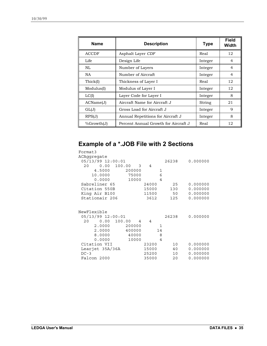| <b>Name</b>  | <b>Description</b>                   | <b>Type</b> | Field<br>Width |
|--------------|--------------------------------------|-------------|----------------|
| <b>ACCDF</b> | Asphalt Layer CDF                    | Real        | 12             |
| Life         | Design Life                          | Integer     | 4              |
| NL.          | Number of Layers                     | Integer     | $\overline{4}$ |
| NA.          | Number of Aircraft                   | Integer     | $\overline{4}$ |
| Thick(I)     | Thickness of Layer I                 | Real        | 12             |
| Modulus(I)   | Modulus of Layer I                   | Integer     | 12             |
| LC(I)        | Layer Code for Layer I               | Integer     | 8              |
| ACName(J)    | Aircraft Name for Aircraft J         | String      | 21             |
| GL(J)        | Gross Load for Aircraft J            | Integer     | 9              |
| RPS(J)       | Annual Repetitions for Aircraft J    | Integer     | 8              |
| %Growth(J)   | Percent Annual Growth for Aircraft J | Real        | 12             |

### **Example of a \*.JOB File with 2 Sections**

| Format3                               |       |       |          |
|---------------------------------------|-------|-------|----------|
| ACAqqreqate                           |       |       |          |
| 05/13/99 12:00:01                     |       | 26238 | 0.000000 |
| 0.00 100.00<br>20<br>$\overline{3}$ 4 |       |       |          |
| 4.5000<br>200000                      | 1     |       |          |
| 10.0000<br>75000                      | 6     |       |          |
| 0.0000<br>10000                       | 4     |       |          |
| Sabreliner 65                         | 24000 | 25    | 0.000000 |
| Citation 550B                         | 15000 | 130   | 0.000000 |
| King Air B100                         | 11500 | 50    | 0.000000 |
| Stationair 206                        | 3612  | 125   | 0.000000 |
|                                       |       |       |          |
| NewFlexible                           |       |       |          |
| 05/13/99 12:00:01                     |       | 26238 | 0.000000 |
| 20  0.00  100.00<br>$4\quad 4$        |       |       |          |
| 2.0000<br>200000                      | 1     |       |          |
| 400000<br>2.0000                      | 14    |       |          |
| 8.0000<br>40000                       | 8     |       |          |
| 0.0000<br>10000                       | 4     |       |          |
| Citation VII                          | 23200 | 10    | 0.000000 |
| Learjet 35A/36A                       | 15000 | 40    | 0.000000 |
| $DC-3$                                | 25200 | 10    | 0.000000 |
| Falcon 2000                           |       |       |          |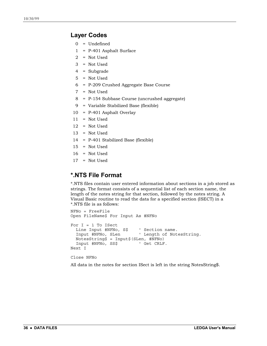#### **Layer Codes**

- 0 = Undefined
- 1 = P-401 Asphalt Surface
- 2 = Not Used
- 3 = Not Used
- 4 = Subgrade
- 5 = Not Used
- 6 = P-209 Crushed Aggregate Base Course
- 7 = Not Used
- 8 = P-154 Subbase Course (uncrushed aggregate)
- 9 = Variable Stabilized Base (flexible)
- 10 = P-401 Asphalt Overlay
- 11 = Not Used
- $12$  = Not Used
- 13 = Not Used
- 14 = P-401 Stabilized Base (flexible)
- 15 = Not Used
- $16$  = Not Used
- 17 = Not Used

### **\*.NTS File Format**

\*.NTS files contain user entered information about sections in a job stored as strings. The format consists of a sequential list of each section name, the length of the notes string for that section, followed by the notes string. A Visual Basic routine to read the data for a specified section (ISECT) in a \*.NTS file is as follows:

```
NFNo = FreeFile
Open FileName$ For Input As #NFNo
For I = 1 To ISect
 Line Input #NFNo, S$ ' Section name.
 Input #NFNo, SLen ' Length of NotesString.
 NotesString$ = Input$(SLen, #NFNo)
 Input #NFNo, SS$ ' Get CRLF.
Next I
```
Close NFNo

All data in the notes for section ISect is left in the string NotesString\$.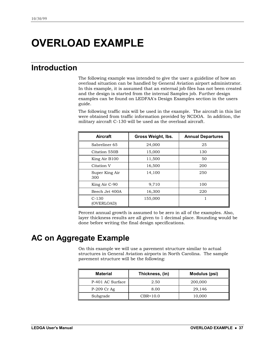## <span id="page-40-0"></span>**OVERLOAD EXAMPLE**

### **Introduction**

The following example was intended to give the user a guideline of how an overload situation can be handled by General Aviation airport administrator. In this example, it is assumed that an external job files has not been created and the design is started from the internal Samples job. Further design examples can be found on LEDFAA's Design Examples section in the users guide.

The following traffic mix will be used in the example. The aircraft in this list were obtained from traffic information provided by NCDOA. In addition, the military aircraft C-130 will be used as the overload aircraft.

| <b>Aircraft</b>       | Gross Weight, Ibs. | <b>Annual Departures</b> |
|-----------------------|--------------------|--------------------------|
| Sabreliner 65         | 24,000             | 25                       |
| Citation 550B         | 15,000             | 130                      |
| King Air B100         | 11,500             | 50                       |
| Citation V            | 16,500             | 200                      |
| Super King Air<br>300 | 14,100             | 250                      |
| King Air C-90         | 9,710              | 100                      |
| Beech Jet 400A        | 16,300             | 220                      |
| $C-130$<br>(OVERLOAD) | 155,000            |                          |

Percent annual growth is assumed to be zero in all of the examples. Also, layer thickness results are all given to 1 decimal place. Rounding would be done before writing the final design specifications.

### **AC on Aggregate Example**

On this example we will use a pavement structure similar to actual structures in General Aviation airports in North Carolina. The sample pavement structure will be the following:

| <b>Material</b>  | Thickness, (in) | Modulus (psi) |
|------------------|-----------------|---------------|
| P-401 AC Surface | 2.50            | 200,000       |
| P-209 Cr Ag      | 8.00            | 29.146        |
| Subgrade         | $CBR=10.0$      | 10,000        |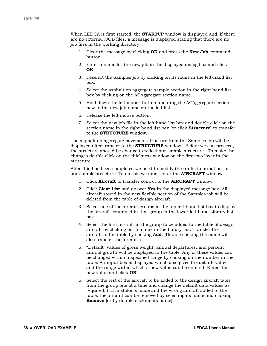When LEDGA is first started, the **STARTUP** window is displayed and, if there are no external .JOB files, a message is displayed stating that there are no job files in the working directory.

- 1. Clear the message by clicking **OK** and press the **New Job** command button.
- 2. Enter a name for the new job in the displayed dialog box and click **OK**.
- 3. Reselect the Samples job by clicking on its name in the left-hand list box.
- 4. Select the asphalt on aggregate sample section in the right hand list box by clicking on the ACAggregate section name.
- 5. Hold down the left mouse button and drag the ACAggregate section new to the new job name on the left list.
- 6. Release the left mouse button.
- 7. Select the new job file in the left hand list box and double click on the section name in the right hand list box (or click **Structure**) to transfer to the **STRUCTURE** window.

The asphalt on aggregate pavement structure from the Samples job will be displayed after transfer to the **STRUCTURE** window. Before we can proceed, the structure should be change to reflect our sample structure. To make the changes double click on the thickness window on the first two layer in the structure.

After this has been completed we need to modify the traffic information for our sample structure. To do this we must enter the **AIRCRAFT** window:

- 1. Click **Aircraft** to transfer control to the **AIRCRAFT** window.
- 2. Click **Clear List** and answer **Yes** in the displayed message box. All aircraft stored in the new flexible section of the Samples job will be deleted from the table of design aircraft.
- 3. Select one of the aircraft groups in the top left hand list box to display the aircraft contained in that group in the lower left hand Library list box.
- 4. Select the first aircraft in the group to be added to the table of design aircraft by clicking on its name in the library list. Transfer the aircraft to the table by clicking **Add**. (Double clicking the name will also transfer the aircraft.)
- 5. "Default" values of gross weight, annual departures, and percent annual growth will be displayed in the table. Any of these values can be changed within a specified range by clicking on the number in the table. An input box is displayed which also gives the default value and the range within which a new value can be entered. Enter the new value and click **OK**.
- 6. Select the rest of the aircraft to be added to the design aircraft table from the group one at a time and change the default data values as required. If a mistake is made and the wrong aircraft added to the table, the aircraft can be removed by selecting its name and clicking **Remove** (or by double clicking its name).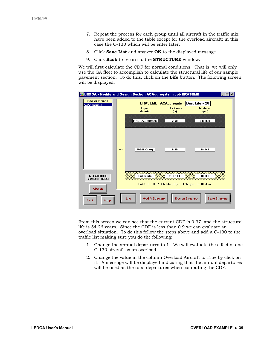- 7. Repeat the process for each group until all aircraft in the traffic mix have been added to the table except for the overload aircraft; in this case the C-130 which will be enter later.
- 8. Click **Save List** and answer **OK** to the displayed message.
- 9. Click **Back** to return to the **STRUCTURE** window.

We will first calculate the CDF for normal conditions. That is, we will only use the GA fleet to accomplish to calculate the structural life of our sample pavement section. To do this, click on the **Life** button. The following screen will be displayed:

|                                            | LEDGA - Modify and Design Section ACAggregate in Job ERASEME                                                                      |  |
|--------------------------------------------|-----------------------------------------------------------------------------------------------------------------------------------|--|
| <b>Section Names</b><br><b>ACAggregate</b> | Des. Life $= 20$<br><b>ERASEME ACAggregate</b><br><b>Thickness</b><br><b>Modulus</b><br>Layer<br><b>Material</b><br>(in)<br>(psi) |  |
|                                            | P-401 AC Surface<br>200,000<br>2.50                                                                                               |  |
|                                            | P-209 Cr Aq<br>8.00<br>29,146<br>$\rightarrow$                                                                                    |  |
| <b>Life Stopped</b><br>$-2093.06; 368.53$  | $CBR = 10.0$<br>Subgrade<br>10,000<br><b>KXXX</b><br>99999999999999<br>Sub CDF = 0.37; Str Life (SG) = 54.263 yrs; t = 10.50 in   |  |
| <b>Aircraft</b><br>Help<br><b>Back</b>     | <b>Modify Structure</b><br><b>Design Structure</b><br><b>Save Structure</b><br>Life                                               |  |

From this screen we can see that the current CDF is 0.37, and the structural life is 54.26 years. Since the CDF is less than 0.9 we can evaluate an overload situation. To do this follow the steps above and add a C-130 to the traffic list making sure you do the following:

- 1. Change the annual departures to 1. We will evaluate the effect of one C-130 aircraft as an overload.
- 2. Change the value in the column Overload Aircraft to True by click on it. A message will be displayed indicating that the annual departures will be used as the total departures when computing the CDF.